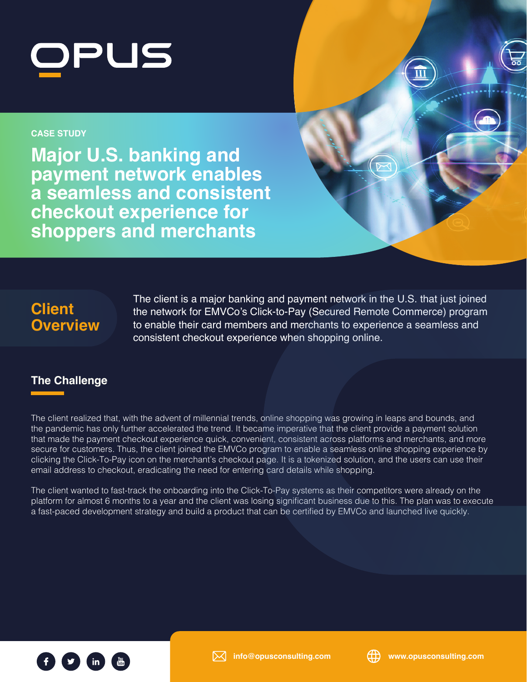

#### **CASE STUDY**

**Major U.S. banking and payment network enables a seamless and consistent checkout experience for shoppers and merchants**

# **Client Overview**

The client is a major banking and payment network in the U.S. that just joined the network for EMVCo's Click-to-Pay (Secured Remote Commerce) program to enable their card members and merchants to experience a seamless and consistent checkout experience when shopping online.

## **The Challenge**

The client realized that, with the advent of millennial trends, online shopping was growing in leaps and bounds, and the pandemic has only further accelerated the trend. It became imperative that the client provide a payment solution that made the payment checkout experience quick, convenient, consistent across platforms and merchants, and more secure for customers. Thus, the client joined the EMVCo program to enable a seamless online shopping experience by clicking the Click-To-Pay icon on the merchant's checkout page. It is a tokenized solution, and the users can use their email address to checkout, eradicating the need for entering card details while shopping.

The client wanted to fast-track the onboarding into the Click-To-Pay systems as their competitors were already on the platform for almost 6 months to a year and the client was losing significant business due to this. The plan was to execute a fast-paced development strategy and build a product that can be certified by EMVCo and launched live quickly.